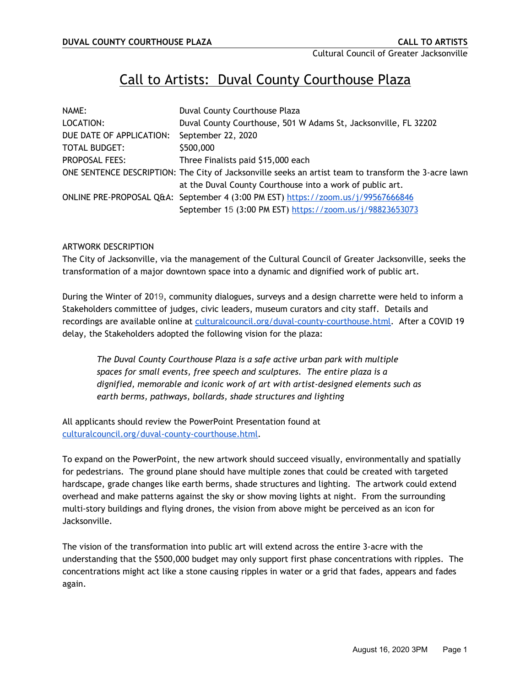# Call to Artists: Duval County Courthouse Plaza

| NAME:                    | Duval County Courthouse Plaza                                                                        |
|--------------------------|------------------------------------------------------------------------------------------------------|
| LOCATION:                | Duval County Courthouse, 501 W Adams St, Jacksonville, FL 32202                                      |
| DUE DATE OF APPLICATION: | September 22, 2020                                                                                   |
| <b>TOTAL BUDGET:</b>     | \$500,000                                                                                            |
| <b>PROPOSAL FEES:</b>    | Three Finalists paid \$15,000 each                                                                   |
|                          | ONE SENTENCE DESCRIPTION: The City of Jacksonville seeks an artist team to transform the 3-acre lawn |
|                          | at the Duval County Courthouse into a work of public art.                                            |
|                          | ONLINE PRE-PROPOSAL Q&A: September 4 (3:00 PM EST) https://zoom.us/j/99567666846                     |
|                          | September 15 (3:00 PM EST) https://zoom.us/j/98823653073                                             |

## ARTWORK DESCRIPTION

The City of Jacksonville, via the management of the Cultural Council of Greater Jacksonville, seeks the transformation of a major downtown space into a dynamic and dignified work of public art.

During the Winter of 2019, community dialogues, surveys and a design charrette were held to inform a Stakeholders committee of judges, civic leaders, museum curators and city staff. Details and recordings are available online a[t](http://culturalcounil.org/) [culturalcouncil.org/duval-county-courthouse.html.](https://www.culturalcouncil.org/duval-county-courthouse.html) After a COVID 19 delay, the Stakeholders adopted the following vision for the plaza:

*The Duval County Courthouse Plaza is a safe active urban park with multiple spaces for small events, free speech and sculptures. The entire plaza is a dignified, memorable and iconic work of art with artist-designed elements such as earth berms, pathways, bollards, shade structures and lighting*

All applicants should review the PowerPoint Presentation found at [culturalcouncil.org/duval-county-courthouse.html.](https://www.culturalcouncil.org/duval-county-courthouse.html)

To expand on the PowerPoint, the new artwork should succeed visually, environmentally and spatially for pedestrians. The ground plane should have multiple zones that could be created with targeted hardscape, grade changes like earth berms, shade structures and lighting. The artwork could extend overhead and make patterns against the sky or show moving lights at night. From the surrounding multi-story buildings and flying drones, the vision from above might be perceived as an icon for Jacksonville.

The vision of the transformation into public art will extend across the entire 3-acre with the understanding that the \$500,000 budget may only support first phase concentrations with ripples. The concentrations might act like a stone causing ripples in water or a grid that fades, appears and fades again.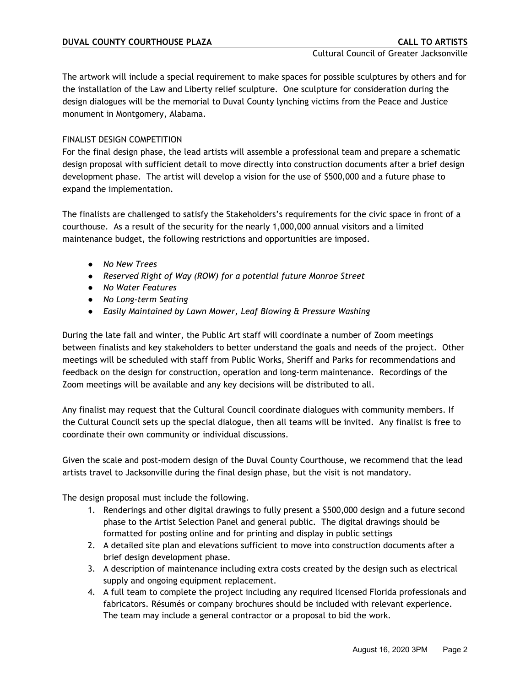The artwork will include a special requirement to make spaces for possible sculptures by others and for the installation of the Law and Liberty relief sculpture. One sculpture for consideration during the design dialogues will be the memorial to Duval County lynching victims from the Peace and Justice monument in Montgomery, Alabama.

# FINALIST DESIGN COMPETITION

For the final design phase, the lead artists will assemble a professional team and prepare a schematic design proposal with sufficient detail to move directly into construction documents after a brief design development phase. The artist will develop a vision for the use of \$500,000 and a future phase to expand the implementation.

The finalists are challenged to satisfy the Stakeholders's requirements for the civic space in front of a courthouse. As a result of the security for the nearly 1,000,000 annual visitors and a limited maintenance budget, the following restrictions and opportunities are imposed.

- *No New Trees*
- *Reserved Right of Way (ROW) for a potential future Monroe Street*
- *No Water Features*
- *No Long-term Seating*
- *Easily Maintained by Lawn Mower, Leaf Blowing & Pressure Washing*

During the late fall and winter, the Public Art staff will coordinate a number of Zoom meetings between finalists and key stakeholders to better understand the goals and needs of the project. Other meetings will be scheduled with staff from Public Works, Sheriff and Parks for recommendations and feedback on the design for construction, operation and long-term maintenance. Recordings of the Zoom meetings will be available and any key decisions will be distributed to all.

Any finalist may request that the Cultural Council coordinate dialogues with community members. If the Cultural Council sets up the special dialogue, then all teams will be invited. Any finalist is free to coordinate their own community or individual discussions.

Given the scale and post-modern design of the Duval County Courthouse, we recommend that the lead artists travel to Jacksonville during the final design phase, but the visit is not mandatory.

The design proposal must include the following.

- 1. Renderings and other digital drawings to fully present a \$500,000 design and a future second phase to the Artist Selection Panel and general public. The digital drawings should be formatted for posting online and for printing and display in public settings
- 2. A detailed site plan and elevations sufficient to move into construction documents after a brief design development phase.
- 3. A description of maintenance including extra costs created by the design such as electrical supply and ongoing equipment replacement.
- 4. A full team to complete the project including any required licensed Florida professionals and fabricators. Résumés or company brochures should be included with relevant experience. The team may include a general contractor or a proposal to bid the work.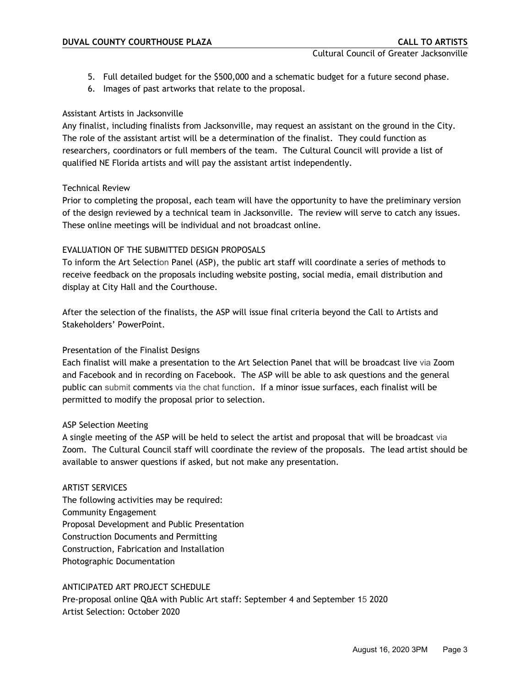- 5. Full detailed budget for the \$500,000 and a schematic budget for a future second phase.
- 6. Images of past artworks that relate to the proposal.

## Assistant Artists in Jacksonville

Any finalist, including finalists from Jacksonville, may request an assistant on the ground in the City. The role of the assistant artist will be a determination of the finalist. They could function as researchers, coordinators or full members of the team. The Cultural Council will provide a list of qualified NE Florida artists and will pay the assistant artist independently.

## Technical Review

Prior to completing the proposal, each team will have the opportunity to have the preliminary version of the design reviewed by a technical team in Jacksonville. The review will serve to catch any issues. These online meetings will be individual and not broadcast online.

# EVALUATION OF THE SUBMITTED DESIGN PROPOSALS

To inform the Art Selection Panel (ASP), the public art staff will coordinate a series of methods to receive feedback on the proposals including website posting, social media, email distribution and display at City Hall and the Courthouse.

After the selection of the finalists, the ASP will issue final criteria beyond the Call to Artists and Stakeholders' PowerPoint.

# Presentation of the Finalist Designs

Each finalist will make a presentation to the Art Selection Panel that will be broadcast live via Zoom and Facebook and in recording on Facebook. The ASP will be able to ask questions and the general public can submit comments via the chat function. If a minor issue surfaces, each finalist will be permitted to modify the proposal prior to selection.

#### ASP Selection Meeting

A single meeting of the ASP will be held to select the artist and proposal that will be broadcast via Zoom. The Cultural Council staff will coordinate the review of the proposals. The lead artist should be available to answer questions if asked, but not make any presentation.

#### ARTIST SERVICES

The following activities may be required: Community Engagement Proposal Development and Public Presentation Construction Documents and Permitting Construction, Fabrication and Installation Photographic Documentation

#### ANTICIPATED ART PROJECT SCHEDULE

Pre-proposal online Q&A with Public Art staff: September 4 and September 15 2020 Artist Selection: October 2020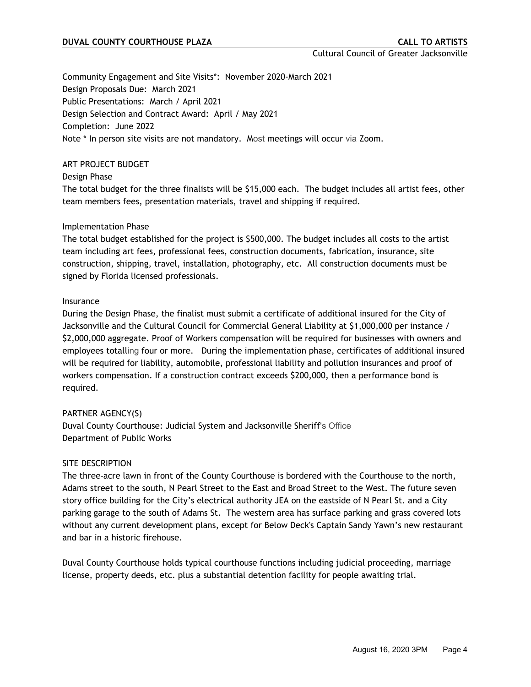Cultural Council of Greater Jacksonville

Community Engagement and Site Visits\*: November 2020-March 2021 Design Proposals Due: March 2021 Public Presentations: March / April 2021 Design Selection and Contract Award: April / May 2021 Completion: June 2022 Note \* In person site visits are not mandatory. Most meetings will occur via Zoom.

#### ART PROJECT BUDGET

Design Phase

The total budget for the three finalists will be \$15,000 each. The budget includes all artist fees, other team members fees, presentation materials, travel and shipping if required.

## Implementation Phase

The total budget established for the project is \$500,000. The budget includes all costs to the artist team including art fees, professional fees, construction documents, fabrication, insurance, site construction, shipping, travel, installation, photography, etc. All construction documents must be signed by Florida licensed professionals.

## Insurance

During the Design Phase, the finalist must submit a certificate of additional insured for the City of Jacksonville and the Cultural Council for Commercial General Liability at \$1,000,000 per instance / \$2,000,000 aggregate. Proof of Workers compensation will be required for businesses with owners and employees totalling four or more. During the implementation phase, certificates of additional insured will be required for liability, automobile, professional liability and pollution insurances and proof of workers compensation. If a construction contract exceeds \$200,000, then a performance bond is required.

# PARTNER AGENCY(S)

Duval County Courthouse: Judicial System and Jacksonville Sheriff's Office Department of Public Works

#### SITE DESCRIPTION

The three-acre lawn in front of the County Courthouse is bordered with the Courthouse to the north, Adams street to the south, N Pearl Street to the East and Broad Street to the West. The future seven story office building for the City's electrical authority JEA on the eastside of N Pearl St. and a City parking garage to the south of Adams St. The western area has surface parking and grass covered lots without any current development plans, except for Below Deck's Captain Sandy Yawn's new restaurant and bar in a historic firehouse.

Duval County Courthouse holds typical courthouse functions including judicial proceeding, marriage license, property deeds, etc. plus a substantial detention facility for people awaiting trial.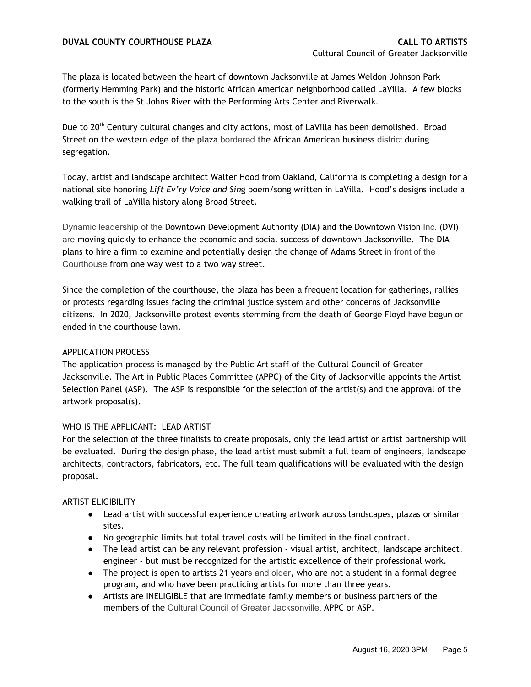The plaza is located between the heart of downtown Jacksonville at James Weldon Johnson Park (formerly Hemming Park) and the historic African American neighborhood called LaVilla. A few blocks to the south is the St Johns River with the Performing Arts Center and Riverwalk.

Due to 20<sup>th</sup> Century cultural changes and city actions, most of LaVilla has been demolished. Broad Street on the western edge of the plaza bordered the African American business district during segregation.

Today, artist and landscape architect Walter Hood from Oakland, California is completing a design for a national site honoring *Lift Ev'ry Voice and Sin*g poem/song written in LaVilla. Hood's designs include a walking trail of LaVilla history along Broad Street.

Dynamic leadership of the Downtown Development Authority (DIA) and the Downtown Vision Inc. (DVI) are moving quickly to enhance the economic and social success of downtown Jacksonville. The DIA plans to hire a firm to examine and potentially design the change of Adams Street in front of the Courthouse from one way west to a two way street.

Since the completion of the courthouse, the plaza has been a frequent location for gatherings, rallies or protests regarding issues facing the criminal justice system and other concerns of Jacksonville citizens. In 2020, Jacksonville protest events stemming from the death of George Floyd have begun or ended in the courthouse lawn.

# APPLICATION PROCESS

The application process is managed by the Public Art staff of the Cultural Council of Greater Jacksonville. The Art in Public Places Committee (APPC) of the City of Jacksonville appoints the Artist Selection Panel (ASP). The ASP is responsible for the selection of the artist(s) and the approval of the artwork proposal(s).

# WHO IS THE APPLICANT: LEAD ARTIST

For the selection of the three finalists to create proposals, only the lead artist or artist partnership will be evaluated. During the design phase, the lead artist must submit a full team of engineers, landscape architects, contractors, fabricators, etc. The full team qualifications will be evaluated with the design proposal.

# ARTIST ELIGIBILITY

- Lead artist with successful experience creating artwork across landscapes, plazas or similar sites.
- No geographic limits but total travel costs will be limited in the final contract.
- The lead artist can be any relevant profession visual artist, architect, landscape architect, engineer - but must be recognized for the artistic excellence of their professional work.
- The project is open to artists 21 years and older, who are not a student in a formal degree program, and who have been practicing artists for more than three years.
- Artists are INELIGIBLE that are immediate family members or business partners of the members of the Cultural Council of Greater Jacksonville, APPC or ASP.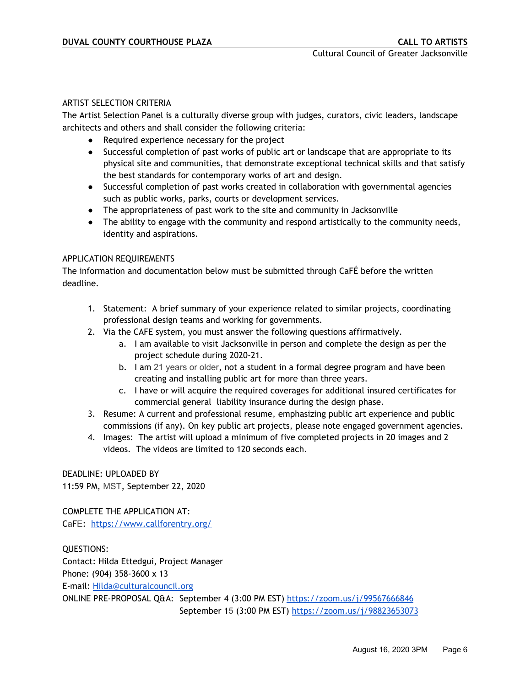## ARTIST SELECTION CRITERIA

The Artist Selection Panel is a culturally diverse group with judges, curators, civic leaders, landscape architects and others and shall consider the following criteria:

- Required experience necessary for the project
- Successful completion of past works of public art or landscape that are appropriate to its physical site and communities, that demonstrate exceptional technical skills and that satisfy the best standards for contemporary works of art and design.
- Successful completion of past works created in collaboration with governmental agencies such as public works, parks, courts or development services.
- The appropriateness of past work to the site and community in Jacksonville
- The ability to engage with the community and respond artistically to the community needs, identity and aspirations.

## APPLICATION REQUIREMENTS

The information and documentation below must be submitted through CaFÉ before the written deadline.

- 1. Statement: A brief summary of your experience related to similar projects, coordinating professional design teams and working for governments.
- 2. Via the CAFE system, you must answer the following questions affirmatively.
	- a. I am available to visit Jacksonville in person and complete the design as per the project schedule during 2020-21.
	- b. I am 21 years or older, not a student in a formal degree program and have been creating and installing public art for more than three years.
	- c. I have or will acquire the required coverages for additional insured certificates for commercial general liability insurance during the design phase.
- 3. Resume: A current and professional resume, emphasizing public art experience and public commissions (if any). On key public art projects, please note engaged government agencies.
- 4. Images: The artist will upload a minimum of five completed projects in 20 images and 2 videos. The videos are limited to 120 seconds each.

DEADLINE: UPLOADED BY 11:59 PM, MST, September 22, 2020

COMPLETE THE APPLICATION AT: CaFE: <https://www.callforentry.org/>

QUESTIONS: Contact: Hilda Ettedgui, Project Manager Phone: (904) 358-3600 x 13 E-mail: [Hilda@culturalcouncil.org](mailto:Hilda@culturalcouncil.org) ONLINE PRE-PROPOSAL Q&A: September 4 (3:00 PM EST) <https://zoom.us/j/99567666846> September 15 (3:00 PM EST) <https://zoom.us/j/98823653073>